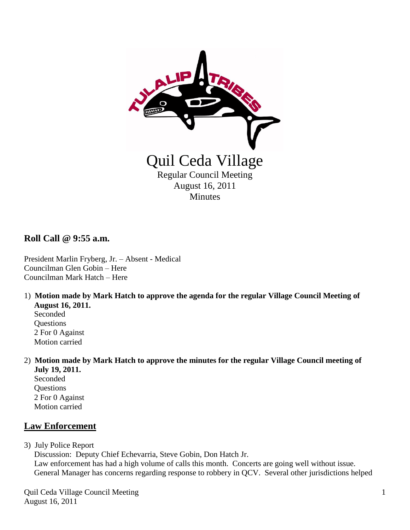

**Roll Call @ 9:55 a.m.**

President Marlin Fryberg, Jr. – Absent - Medical Councilman Glen Gobin – Here Councilman Mark Hatch – Here

1) **Motion made by Mark Hatch to approve the agenda for the regular Village Council Meeting of August 16, 2011.**

 Seconded **Questions**  2 For 0 Against Motion carried

2) **Motion made by Mark Hatch to approve the minutes for the regular Village Council meeting of July 19, 2011.**

 Seconded **Ouestions**  2 For 0 Against Motion carried

## **Law Enforcement**

3) July Police Report

Discussion: Deputy Chief Echevarria, Steve Gobin, Don Hatch Jr.

 Law enforcement has had a high volume of calls this month. Concerts are going well without issue. General Manager has concerns regarding response to robbery in QCV. Several other jurisdictions helped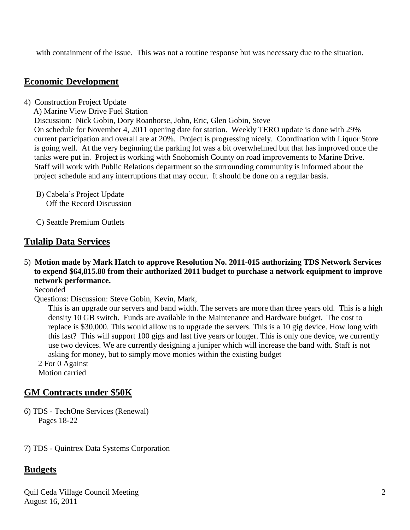with containment of the issue. This was not a routine response but was necessary due to the situation.

### **Economic Development**

- 4) Construction Project Update
	- A) Marine View Drive Fuel Station

Discussion: Nick Gobin, Dory Roanhorse, John, Eric, Glen Gobin, Steve

 On schedule for November 4, 2011 opening date for station. Weekly TERO update is done with 29% current participation and overall are at 20%. Project is progressing nicely. Coordination with Liquor Store is going well. At the very beginning the parking lot was a bit overwhelmed but that has improved once the tanks were put in. Project is working with Snohomish County on road improvements to Marine Drive. Staff will work with Public Relations department so the surrounding community is informed about the project schedule and any interruptions that may occur. It should be done on a regular basis.

- B) Cabela's Project Update Off the Record Discussion
- C) Seattle Premium Outlets

#### **Tulalip Data Services**

5) **Motion made by Mark Hatch to approve Resolution No. 2011-015 authorizing TDS Network Services to expend \$64,815.80 from their authorized 2011 budget to purchase a network equipment to improve network performance.** 

Seconded

Questions: Discussion: Steve Gobin, Kevin, Mark,

This is an upgrade our servers and band width. The servers are more than three years old. This is a high density 10 GB switch. Funds are available in the Maintenance and Hardware budget. The cost to replace is \$30,000. This would allow us to upgrade the servers. This is a 10 gig device. How long with this last? This will support 100 gigs and last five years or longer. This is only one device, we currently use two devices. We are currently designing a juniper which will increase the band with. Staff is not asking for money, but to simply move monies within the existing budget

 2 For 0 Against Motion carried

#### **GM Contracts under \$50K**

6) TDS - TechOne Services (Renewal) Pages 18-22

7) TDS - Quintrex Data Systems Corporation

#### **Budgets**

Quil Ceda Village Council Meeting August 16, 2011